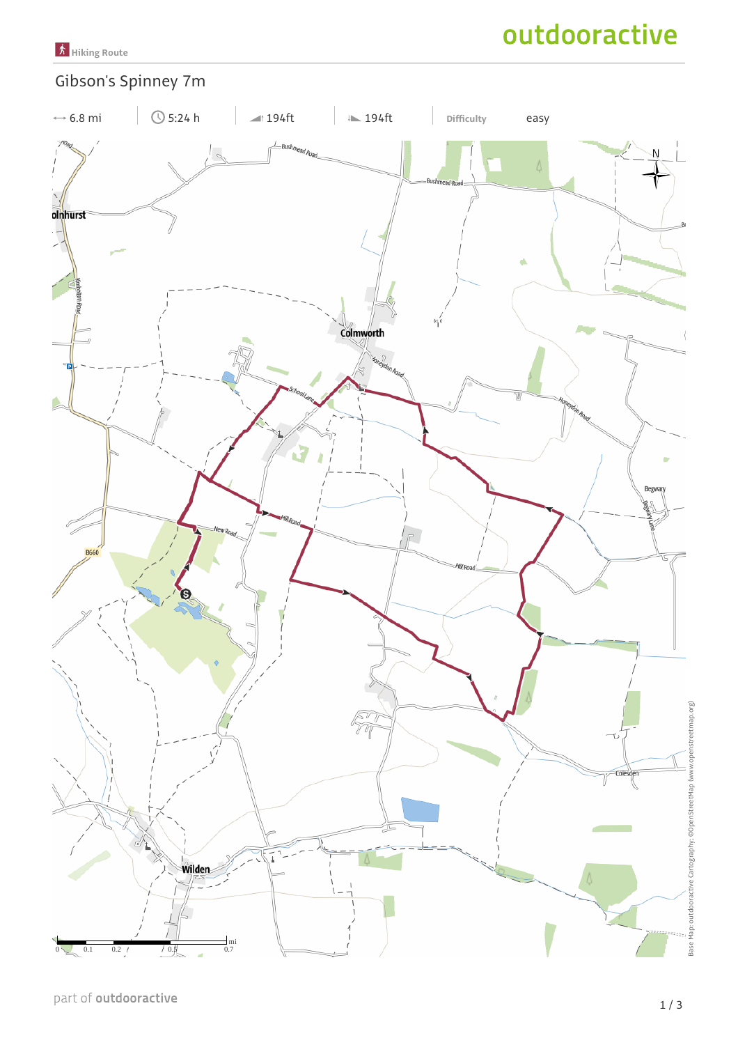

# Gibson's Spinney 7m

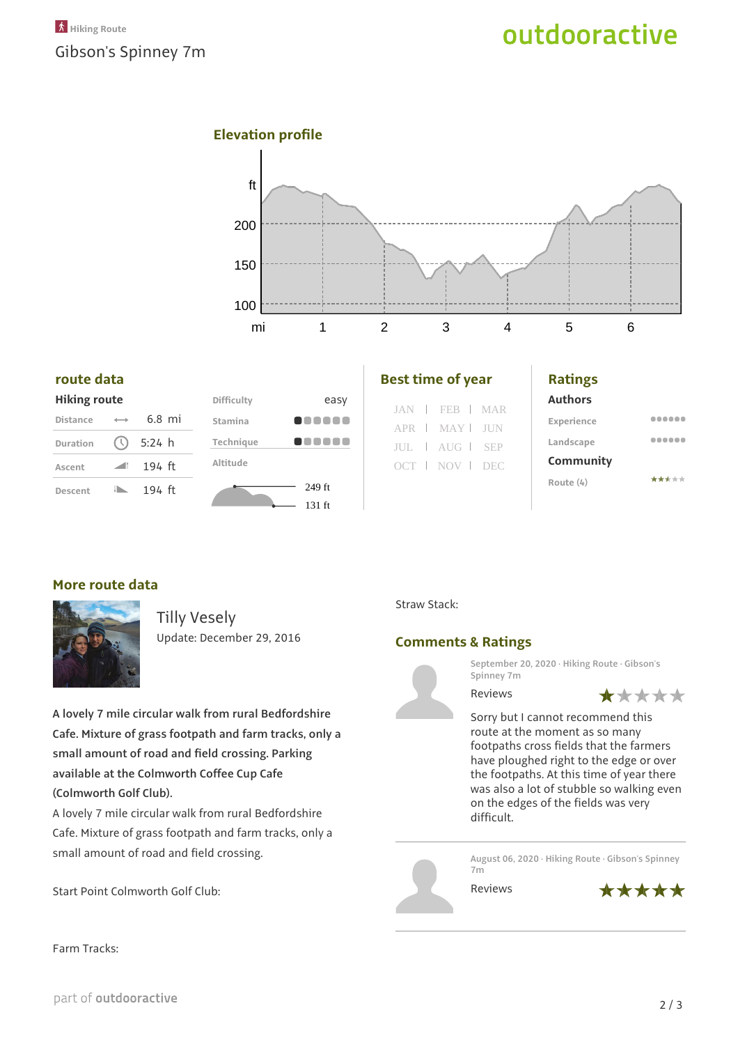## **Elevation profile**



#### **route data**

|  | <b>Hiking route</b> |
|--|---------------------|
|  |                     |

| <b>Distance</b> |                  | $6.8$ mi |  |
|-----------------|------------------|----------|--|
| <b>Duration</b> | $\circ$          | 5:24 h   |  |
| Ascent          | $\sim$ 11 $\sim$ | 194 ft   |  |
| Descent         |                  | 194 ft   |  |



| <b>Best time of year</b> |  |
|--------------------------|--|
|--------------------------|--|

|  | JAN   FEB   MAR |  |
|--|-----------------|--|
|  | APR   MAY   JUN |  |
|  | JUL   AUG   SEP |  |
|  | OCT NOV DEC     |  |
|  |                 |  |

#### **Ratings**

**Authors**

| Experience |       |
|------------|-------|
| Landscape  |       |
| Community  |       |
| Route (4)  | ***** |

#### **More route data**



Tilly Vesely Update: December 29, 2016

**A lovely 7 mile circular walk from rural Bedfordshire Cafe. Mixture of grass footpath and farm tracks, only a small amount of road and field crossing. Parking available at the Colmworth Coffee Cup Cafe (Colmworth Golf Club).**

A lovely 7 mile circular walk from rural Bedfordshire Cafe. Mixture of grass footpath and farm tracks, only a small amount of road and field crossing.

Start Point Colmworth Golf Club:

Farm Tracks:

Straw Stack:

### **Comments & Ratings**



**September 20, 2020 · Hiking Route · Gibson's Spinney 7m**

Reviews



Sorry but I cannot recommend this route at the moment as so many footpaths cross fields that the farmers have ploughed right to the edge or over the footpaths. At this time of year there was also a lot of stubble so walking even on the edges of the fields was very difficult.

**August 06, 2020 · Hiking Route · Gibson's Spinney 7m**

Reviews